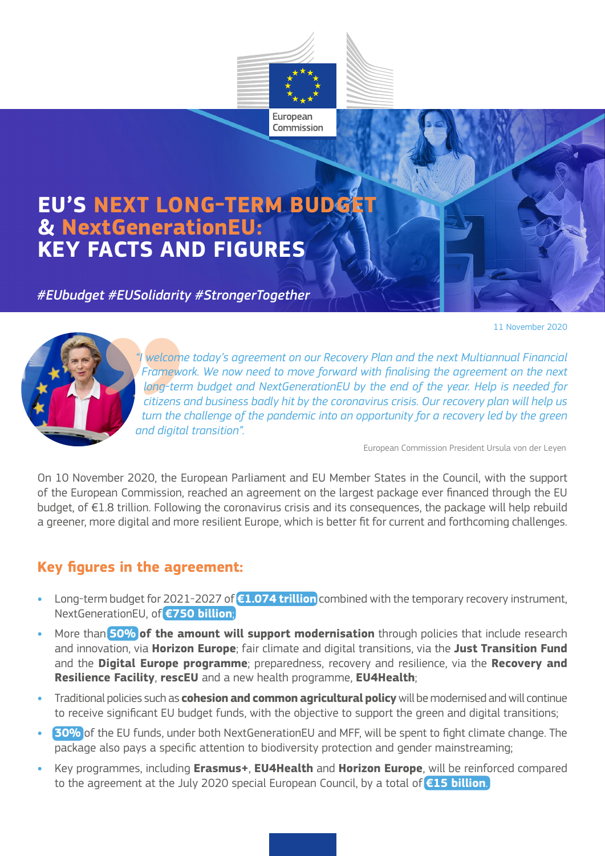

### **EU'S NEXT LONG-TERM BUDGE & NextGenerationEU: KEY FACTS AND FIGURES**

#### *#EUbudget #EUSolidarity #StrongerTogether*

11 November 2020



*"I welcome today's agreement on our Recovery Plan and the next Multiannual Financial Framework. We now need to move forward with finalising the agreement on the next long-term budget and NextGenerationEU by the end of the year. Help is needed for citizens and business badly hit by the coronavirus crisis. Our recovery plan will help us*  turn the challenge of the pandemic into an opportunity for a recovery led by the green *and digital transition".*

European Commission President Ursula von der Leyen

On 10 November 2020, the European Parliament and EU Member States in the Council, with the support of the European Commission, reached an agreement on the largest package ever financed through the EU budget, of €1.8 trillion. Following the coronavirus crisis and its consequences, the package will help rebuild a greener, more digital and more resilient Europe, which is better fit for current and forthcoming challenges.

#### **Key figures in the agreement:**

- **•** Long-term budget for 2021-2027 of **€1.074 trillion** combined with the temporary recovery instrument, NextGenerationEU, of **€750 billion**;
- **•** More than **50% of the amount will support modernisation** through policies that include research and innovation, via **Horizon Europe**; fair climate and digital transitions, via the **Just Transition Fund**  and the **Digital Europe programme**; preparedness, recovery and resilience, via the **Recovery and Resilience Facility**, **rescEU** and a new health programme, **EU4Health**;
- **•** Traditional policies such as **cohesion and common agricultural policy** will be modernised and will continue to receive significant EU budget funds, with the objective to support the green and digital transitions;
- **• 30%** of the EU funds, under both NextGenerationEU and MFF, will be spent to fight climate change. The package also pays a specific attention to biodiversity protection and gender mainstreaming;
- **•** Key programmes, including **Erasmus+**, **EU4Health** and **Horizon Europe**, will be reinforced compared to the agreement at the July 2020 special European Council, by a total of **€15 billion**.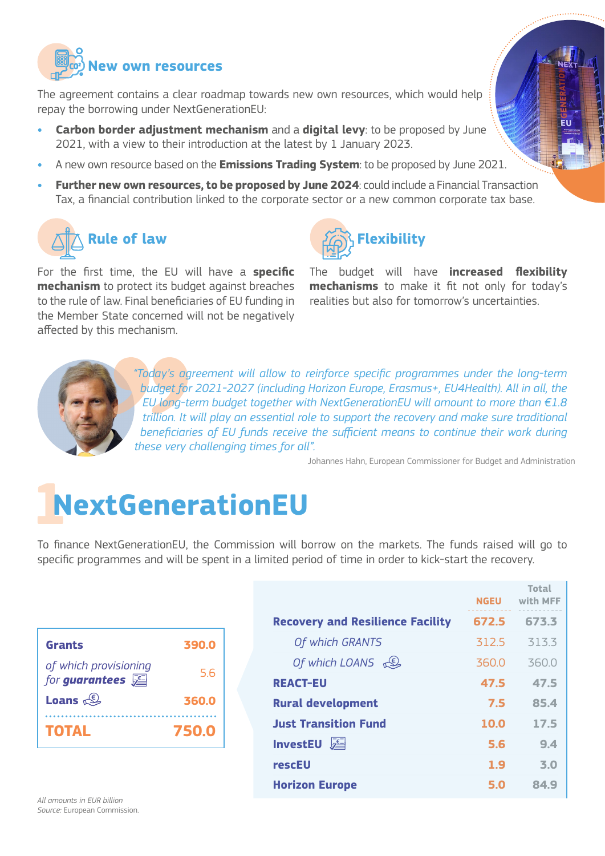

The agreement contains a clear roadmap towards new own resources, which would help repay the borrowing under NextGenerationEU:

- **• Carbon border adjustment mechanism** and a **digital levy**: to be proposed by June 2021, with a view to their introduction at the latest by 1 January 2023.
- **•** A new own resource based on the **Emissions Trading System**: to be proposed by June 2021.
- **• Further new own resources, to be proposed by June 2024**: could include a Financial Transaction Tax, a financial contribution linked to the corporate sector or a new common corporate tax base.

### **Rule of law**

For the first time, the EU will have a **specific mechanism** to protect its budget against breaches to the rule of law. Final beneficiaries of EU funding in the Member State concerned will not be negatively affected by this mechanism.



The budget will have **increased flexibility mechanisms** to make it fit not only for today's realities but also for tomorrow's uncertainties.



*"Today's agreement will allow to reinforce specific programmes under the long-term budget for 2021-2027 (including Horizon Europe, Erasmus+, EU4Health). All in all, the EU long-term budget together with NextGenerationEU will amount to more than €1.8 trillion. It will play an essential role to support the recovery and make sure traditional beneficiaries of EU funds receive the sufficient means to continue their work during these very challenging times for all".*

Johannes Hahn, European Commissioner for Budget and Administration

## **1NextGenerationEU**

To finance NextGenerationEU, the Commission will borrow on the markets. The funds raised will go to specific programmes and will be spent in a limited period of time in order to kick-start the recovery.

| <b>Grants</b>                           | 390.0 |
|-----------------------------------------|-------|
| of which provisioning<br>for guarantees | 5.6   |
| Loans $\mathbb{S}$                      | 360.0 |
| <b>TOTAL</b>                            | 750.0 |

|                                         | <b>NGEU</b> | <b>Total</b><br>with MFF |
|-----------------------------------------|-------------|--------------------------|
| <b>Recovery and Resilience Facility</b> | 672.5       | 673.3                    |
| Of which GRANTS                         | 312.5       | 313.3                    |
| Of which LOANS $\mathbb{C}$             | 3600        | 3600                     |
| <b>REACT-EU</b>                         | 47.5        | 47.5                     |
| <b>Rural development</b>                | 7.5         | 85.4                     |
| <b>Just Transition Fund</b>             | 10.0        | 17.5                     |
| <b>InvestEU</b>                         | 5.6         | 9.4                      |
| rescEU                                  | 1.9         | 3.0                      |
| <b>Horizon Europe</b>                   | 5.0         | 84.9                     |